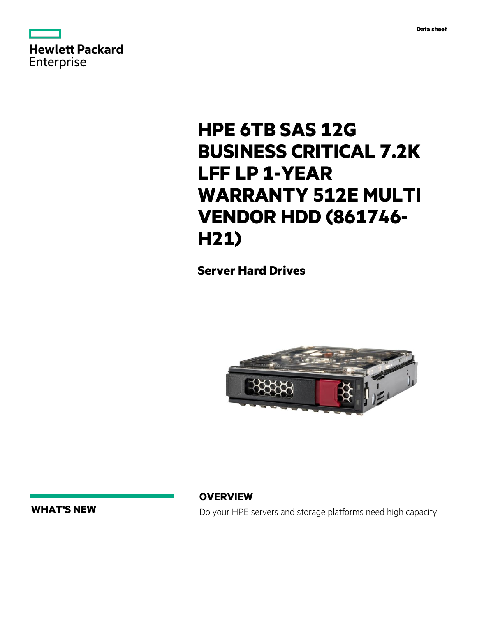



# **HPE 6TB SAS 12G BUSINESS CRITICAL 7.2K LFF LP 1-YEAR WARRANTY 512E MULTI VENDOR HDD (861746- H21)**

**Server Hard Drives**



**WHAT'S NEW**

**OVERVIEW**

Do your HPE servers and storage platforms need high capacity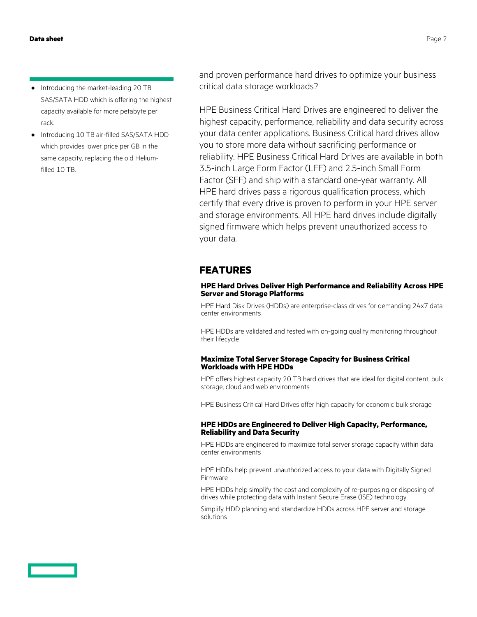- **·** Introducing the market-leading 20 TB SAS/SATA HDD which is offering the highest capacity available for more petabyte per rack.
- **·** Introducing 10 TB air-filled SAS/SATA HDD which provides lower price per GB in the same capacity, replacing the old Heliumfilled 10 TB.

and proven performance hard drives to optimize your business critical data storage workloads?

HPE Business Critical Hard Drives are engineered to deliver the highest capacity, performance, reliability and data security across your data center applications. Business Critical hard drives allow you to store more data without sacrificing performance or reliability. HPE Business Critical Hard Drives are available in both 3.5-inch Large Form Factor (LFF) and 2.5-inch Small Form Factor (SFF) and ship with a standard one-year warranty. All HPE hard drives pass a rigorous qualification process, which certify that every drive is proven to perform in your HPE server and storage environments. All HPE hard drives include digitally signed firmware which helps prevent unauthorized access to your data.

# **FEATURES**

#### **HPE Hard Drives Deliver High Performance and Reliability Across HPE Server and Storage Platforms**

HPE Hard Disk Drives (HDDs) are enterprise-class drives for demanding 24x7 data center environments

HPE HDDs are validated and tested with on-going quality monitoring throughout their lifecycle

### **Maximize Total Server Storage Capacity for Business Critical Workloads with HPE HDDs**

HPE offers highest capacity 20 TB hard drives that are ideal for digital content, bulk storage, cloud and web environments

HPE Business Critical Hard Drives offer high capacity for economic bulk storage

#### **HPE HDDs are Engineered to Deliver High Capacity, Performance, Reliability and Data Security**

HPE HDDs are engineered to maximize total server storage capacity within data center environments

HPE HDDs help prevent unauthorized access to your data with Digitally Signed Firmware

HPE HDDs help simplify the cost and complexity of re-purposing or disposing of drives while protecting data with Instant Secure Erase (ISE) technology

Simplify HDD planning and standardize HDDs across HPE server and storage solutions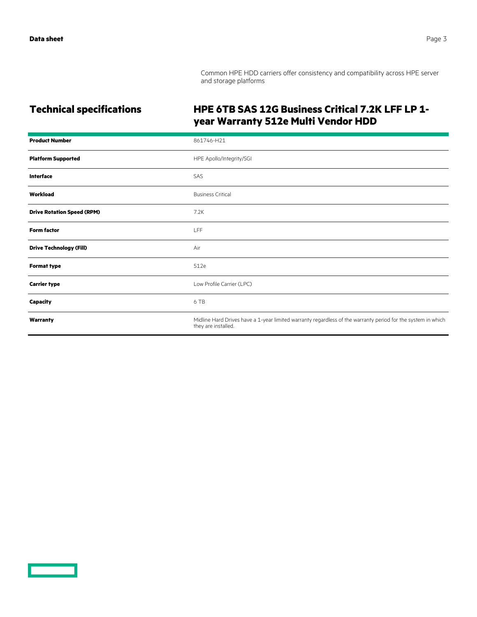Common HPE HDD carriers offer consistency and compatibility across HPE server and storage platforms

# **Technical specifications HPE 6TB SAS 12G Business Critical 7.2K LFF LP 1 year Warranty 512e Multi Vendor HDD**

| <b>Product Number</b>             | 861746-H21                                                                                                                          |
|-----------------------------------|-------------------------------------------------------------------------------------------------------------------------------------|
| <b>Platform Supported</b>         | HPE Apollo/Integrity/SGI                                                                                                            |
| Interface                         | SAS                                                                                                                                 |
| Workload                          | <b>Business Critical</b>                                                                                                            |
| <b>Drive Rotation Speed (RPM)</b> | 7.2K                                                                                                                                |
| <b>Form factor</b>                | <b>LFF</b>                                                                                                                          |
| <b>Drive Technology (Fill)</b>    | Air                                                                                                                                 |
| <b>Format type</b>                | 512e                                                                                                                                |
| <b>Carrier type</b>               | Low Profile Carrier (LPC)                                                                                                           |
| <b>Capacity</b>                   | 6 TB                                                                                                                                |
| Warranty                          | Midline Hard Drives have a 1-year limited warranty regardless of the warranty period for the system in which<br>they are installed. |